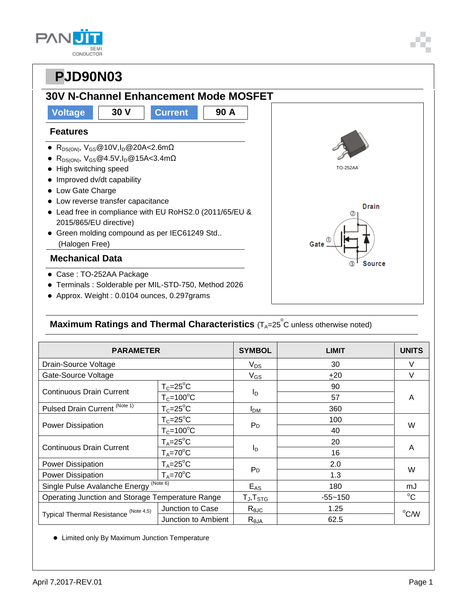| <b>SEM</b> |
|------------|
| CONDUCTOR  |

### **30V N-Channel Enhancement Mode MOSFET**



### **Maximum Ratings and Thermal Characteristics** (T<sub>A</sub>=25<sup>°</sup>C unless otherwise noted)

| <b>PARAMETER</b>                                 |                      | <b>SYMBOL</b>          | <b>LIMIT</b> | <b>UNITS</b> |  |
|--------------------------------------------------|----------------------|------------------------|--------------|--------------|--|
| Drain-Source Voltage                             |                      | $V_{DS}$               | 30           | V            |  |
| Gate-Source Voltage                              |                      | $V_{GS}$               | $+20$        | $\vee$       |  |
| <b>Continuous Drain Current</b>                  | $T_c = 25$ °C        | $I_D$                  | 90           | A            |  |
|                                                  | $T_c = 100^{\circ}C$ |                        | 57           |              |  |
| Pulsed Drain Current <sup>(Note 1)</sup>         | $T_c = 25$ °C        | <b>I</b> <sub>DM</sub> | 360          |              |  |
| <b>Power Dissipation</b>                         | $T_c = 25$ °C        | P <sub>D</sub>         | 100          | W            |  |
|                                                  | $T_c = 100^{\circ}C$ |                        | 40           |              |  |
| <b>Continuous Drain Current</b>                  | $T_A = 25$ °C        |                        | 20           |              |  |
|                                                  | $T_A = 70^{\circ}C$  | $I_{\text{D}}$         | 16           | A            |  |
| Power Dissipation                                | $T_A = 25$ °C        |                        | 2.0          |              |  |
| Power Dissipation                                | $T_A = 70^{\circ}C$  | P <sub>D</sub>         | 1.3          | W            |  |
| Single Pulse Avalanche Energy (Note 6)           |                      | $E_{AS}$               | 180          | mJ           |  |
| Operating Junction and Storage Temperature Range |                      | $T_{J}$ , $T_{STG}$    | $-55 - 150$  | $^{\circ}C$  |  |
| Typical Thermal Resistance (Note 4,5)            | Junction to Case     | $R_{\theta \text{JC}}$ | 1.25         | °C/W         |  |
|                                                  | Junction to Ambient  | $R_{\theta$ JA         | 62.5         |              |  |

Limited only By Maximum Junction Temperature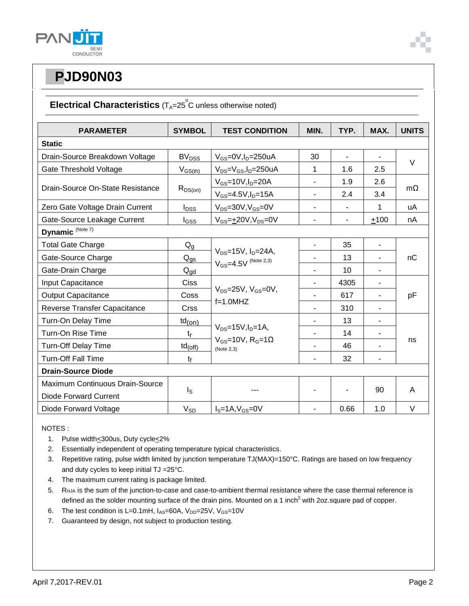

### Electrical Characteristics (T<sub>A</sub>=25<sup>°</sup>C unless otherwise noted)

| <b>PARAMETER</b>                 | <b>SYMBOL</b>            | <b>TEST CONDITION</b>                                                                  | MIN.                     | TYP.                     | MAX.           | <b>UNITS</b> |
|----------------------------------|--------------------------|----------------------------------------------------------------------------------------|--------------------------|--------------------------|----------------|--------------|
| <b>Static</b>                    |                          |                                                                                        |                          |                          |                |              |
| Drain-Source Breakdown Voltage   | <b>BV<sub>DSS</sub></b>  | $V_{GS}$ =0V, $I_D$ =250uA                                                             | 30                       | $\blacksquare$           | $\overline{a}$ |              |
| Gate Threshold Voltage           | $V_{GS(th)}$             | $V_{DS} = V_{GS}$ , I <sub>D</sub> =250uA                                              | 1                        | 1.6                      | 2.5            | $\vee$       |
| Drain-Source On-State Resistance | $R_{DS(on)}$             | $V_{GS}$ =10V, $I_D$ =20A                                                              | $\overline{\phantom{0}}$ | 1.9                      | 2.6            | $m\Omega$    |
|                                  |                          | $V_{GS} = 4.5V, I_D = 15A$                                                             | $\blacksquare$           | 2.4                      | 3.4            |              |
| Zero Gate Voltage Drain Current  | $I_{DSS}$                | $V_{DS} = 30V$ , $V_{GS} = 0V$                                                         | $\blacksquare$           | $\overline{\phantom{0}}$ | 1              | uA           |
| Gate-Source Leakage Current      | l <sub>GSS</sub>         | $V_{GS} = \pm 20V, V_{DS} = 0V$                                                        | $\overline{\phantom{0}}$ | $\overline{\phantom{0}}$ | $+100$         | nA           |
| Dynamic (Note 7)                 |                          |                                                                                        |                          |                          |                |              |
| <b>Total Gate Charge</b>         | $Q_g$                    | $V_{DS} = 15V$ , $I_D = 24A$ ,<br>$V_{GS} = 4.5V$ (Note 2,3)                           |                          | 35                       | ٠              | пC           |
| Gate-Source Charge               | $\rm Q_{\underline{GS}}$ |                                                                                        |                          | 13                       | ٠              |              |
| Gate-Drain Charge                | $Q_{gd}$                 |                                                                                        | $\blacksquare$           | 10                       | $\blacksquare$ |              |
| Input Capacitance                | <b>Ciss</b>              | $V_{DS}$ =25V, $V_{GS}$ =0V,<br>$f=1.0$ MHZ                                            |                          | 4305                     | ÷,             | pF           |
| <b>Output Capacitance</b>        | Coss                     |                                                                                        |                          | 617                      |                |              |
| Reverse Transfer Capacitance     | <b>Crss</b>              |                                                                                        |                          | 310                      |                |              |
| Turn-On Delay Time               | $td_{(on)}$              |                                                                                        |                          | 13                       | $\blacksquare$ |              |
| Turn-On Rise Time                | $t_{\rm r}$              | $V_{DS}$ =15V, $I_{D}$ =1A,<br>$V_{GS}$ =10V, R <sub>G</sub> =1 $\Omega$<br>(Note 2,3) | $\overline{\phantom{0}}$ | 14                       | $\blacksquare$ | ns           |
| <b>Turn-Off Delay Time</b>       | $td_{(off)}$             |                                                                                        |                          | 46                       |                |              |
| <b>Turn-Off Fall Time</b>        | tf                       |                                                                                        |                          | 32                       |                |              |
| <b>Drain-Source Diode</b>        |                          |                                                                                        |                          |                          |                |              |
| Maximum Continuous Drain-Source  |                          |                                                                                        |                          |                          |                |              |
| Diode Forward Current            | $I_{\rm S}$              |                                                                                        |                          |                          | 90             | A            |
| Diode Forward Voltage            | $V_{SD}$                 | $IS=1A, VGS=0V$                                                                        | $\overline{\phantom{a}}$ | 0.66                     | 1.0            | V            |

NOTES :

- 1. Pulse width<300us, Duty cycle<2%
- 2. Essentially independent of operating temperature typical characteristics.
- 3. Repetitive rating, pulse width limited by junction temperature TJ(MAX)=150°C. Ratings are based on low frequency and duty cycles to keep initial TJ =25°C.
- 4. The maximum current rating is package limited.
- 5. Roja is the sum of the junction-to-case and case-to-ambient thermal resistance where the case thermal reference is defined as the solder mounting surface of the drain pins. Mounted on a 1 inch<sup>2</sup> with 2oz.square pad of copper.
- 6. The test condition is L=0.1mH,  $I_{AS}$ =60A,  $V_{DD}$ =25V,  $V_{GS}$ =10V
- 7. Guaranteed by design, not subject to production testing.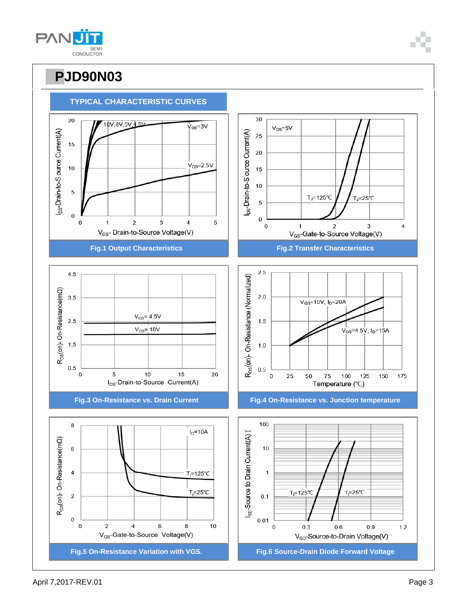



**TYPICAL CHARACTERISTIC CURVES**

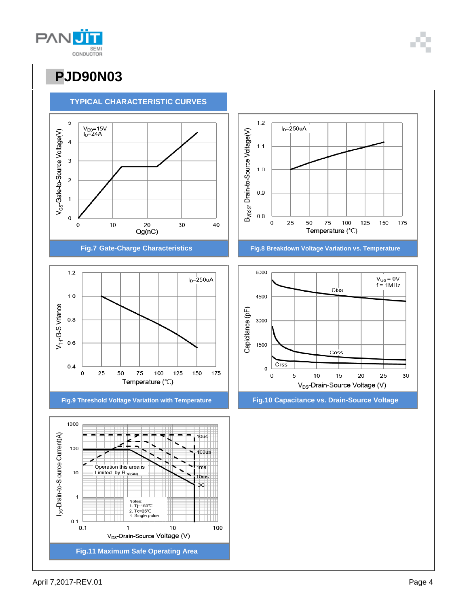



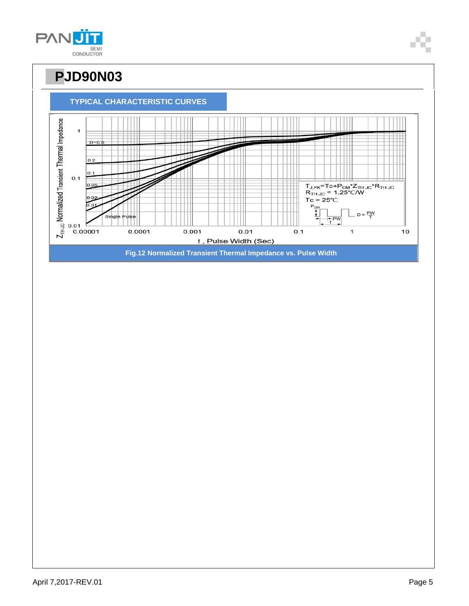



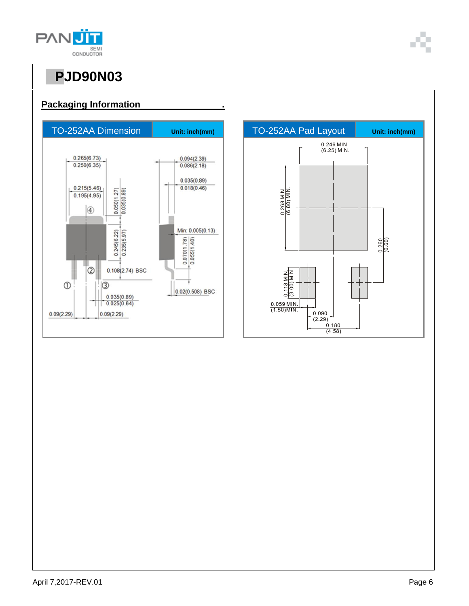

**Packaging Information .**



# $\frac{0.246 \text{ MIN}}{(6.25) \text{ MIN}}$  $\frac{0.260}{(6.60)}$  $\begin{array}{c|c} 0.090 \\ \hline (2.29) \\ 0.180 \end{array}$  $(4.58)$

#### April 7,2017-REV.01 Page 6

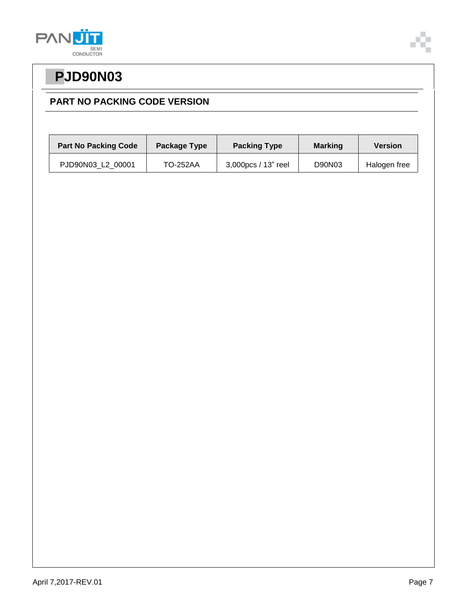



### **PART NO PACKING CODE VERSION**

| <b>Part No Packing Code</b> | Package Type    | <b>Packing Type</b> | <b>Marking</b> | Version      |
|-----------------------------|-----------------|---------------------|----------------|--------------|
| PJD90N03 L2 00001           | <b>TO-252AA</b> | 3,000pcs / 13" reel | D90N03         | Halogen free |